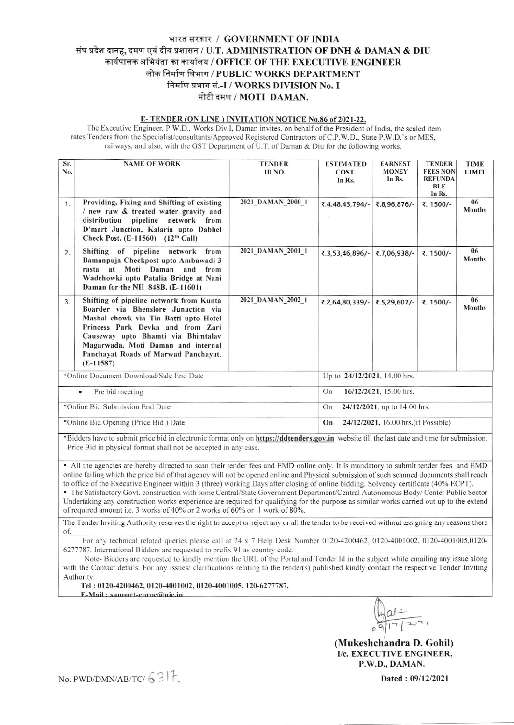## भारत सरकार / GOVERNMENT OF INDIA संघ प्रदेश दानह, दमण एवं दीव प्रशासन / U.T. ADMINISTRATION OF DNH & DAMAN & DIU कार्यपालक अभियंता का कार्यालय / OFFICE OF THE EXECUTIVE ENGINEER लोक निर्माण विभाग / PUBLIC WORKS DEPARTMENT निर्माण प्रभाग सं.-I / WORKS DIVISION No. I मोटी दमण / MOTI DAMAN.

## E-TENDER (ON LINE) INVITATION NOTICE No.86 of 2021-22.

The Executive Engineer, P.W.D., Works Div.I, Daman invites, on behalf of the President of India, the sealed item rates Tenders from the Specialist/consultants/Approved Registered Contractors of C.P.W.D., State P.W.D.'s or MES, railways, and also, with the GST Department of U.T. of Daman & Diu for the following works.

| Sr.<br>No.                      | <b>NAME OF WORK</b>                                                                                                                                                                                                                                                                             | <b>TENDER</b><br>ID NO.                    | <b>ESTIMATED</b><br>COST.<br>In Rs. | <b>EARNEST</b><br><b>MONEY</b><br>In Rs. | <b>TENDER</b><br><b>FEES NON</b><br><b>REFUNDA</b><br><b>BLE</b><br>In Rs. | <b>TIME</b><br><b>LIMIT</b> |  |
|---------------------------------|-------------------------------------------------------------------------------------------------------------------------------------------------------------------------------------------------------------------------------------------------------------------------------------------------|--------------------------------------------|-------------------------------------|------------------------------------------|----------------------------------------------------------------------------|-----------------------------|--|
| 1.                              | Providing, Fixing and Shifting of existing<br>/ new raw & treated water gravity and<br>distribution pipeline network from<br>D'mart Junction, Kalaria upto Dabhel<br>Check Post. $(E-11560)$ $(12th$ Call)                                                                                      | 2021 DAMAN 2000 1                          | ₹.4,48,43,794/-                     | ₹.8,96,876/-                             | ₹. 1500/-                                                                  | 06<br><b>Months</b>         |  |
| 2.                              | Shifting of pipeline network from<br>Bamanpuja Checkpost upto Ambawadi 3<br>rasta at Moti Daman<br>and<br>from<br>Wadchowki upto Patalia Bridge at Nani<br>Daman for the NH 848B. (E-11601)                                                                                                     | 2021 DAMAN 2001 1                          | ₹.3,53,46,896/-                     | ₹.7,06,938/-                             | ₹. 1500/-                                                                  | 06<br><b>Months</b>         |  |
| 3.                              | Shifting of pipeline network from Kunta<br>Boarder via Bhenslore Junaction via<br>Mashal chowk via Tin Batti upto Hotel<br>Princess Park Devka and from Zari<br>Causeway upto Bhamti via Bhimtalav<br>Magarwada, Moti Daman and internal<br>Panchayat Roads of Marwad Panchayat.<br>$(E-11587)$ | 2021 DAMAN 2002 1                          | ₹.2,64,80,339/-                     | ₹.5,29,607/-                             | ₹. 1500/-                                                                  | 06<br><b>Months</b>         |  |
|                                 | *Online Document Download/Sale End Date                                                                                                                                                                                                                                                         | Up to 24/12/2021, 14.00 hrs.               |                                     |                                          |                                                                            |                             |  |
| Pre bid meeting<br>٠            |                                                                                                                                                                                                                                                                                                 |                                            | On<br>16/12/2021, 15.00 hrs.        |                                          |                                                                            |                             |  |
| *Online Bid Submission End Date |                                                                                                                                                                                                                                                                                                 |                                            | On<br>24/12/2021, up to 14.00 hrs.  |                                          |                                                                            |                             |  |
|                                 | *Online Bid Opening (Price Bid) Date                                                                                                                                                                                                                                                            | On<br>24/12/2021, 16.00 hrs. (if Possible) |                                     |                                          |                                                                            |                             |  |

\*Bidders have to submit price bid in electronic format only on https://ddtenders.gov.in website till the last date and time for submission. Price Bid in physical format shall not be accepted in any case.

• All the agencies are hereby directed to scan their tender fees and EMD online only. It is mandatory to submit tender fees and EMD online failing which the price bid of that agency will not be opened online and Physical submission of such scanned documents shall reach to office of the Executive Engineer within 3 (three) working Days after closing of online bidding. Solvency certificate (40% ECPT).

· The Satisfactory Govt. construction with some Central/State Government Department/Central Autonomous Body/ Center Public Sector Undertaking any construction works experience are required for qualifying for the purpose as similar works carried out up to the extend of required amount i.e. 3 works of 40% or 2 works of 60% or 1 work of 80%.

The Tender Inviting Authority reserves the right to accept or reject any or all the tender to be received without assigning any reasons there of.

For any technical related queries please call at 24 x 7 Help Desk Number 0120-4200462, 0120-4001002, 0120-4001005,0120-6277787. International Bidders are requested to prefix 91 as country code.

Note-Bidders are requested to kindly mention the URL of the Portal and Tender Id in the subject while emailing any issue along with the Contact details. For any issues/ clarifications relating to the tender(s) published kindly contact the respective Tender Inviting Authority.

Tel: 0120-4200462, 0120-4001002, 0120-4001005, 120-6277787,

 $E-Mail: sunport-enroc@nic.in$ 

 $\frac{1}{9}$  al -

(Mukeshchandra D. Gohil) I/c. EXECUTIVE ENGINEER. P.W.D., DAMAN.

Dated: 09/12/2021

No. PWD/DMN/AB/TC/  $6317$ .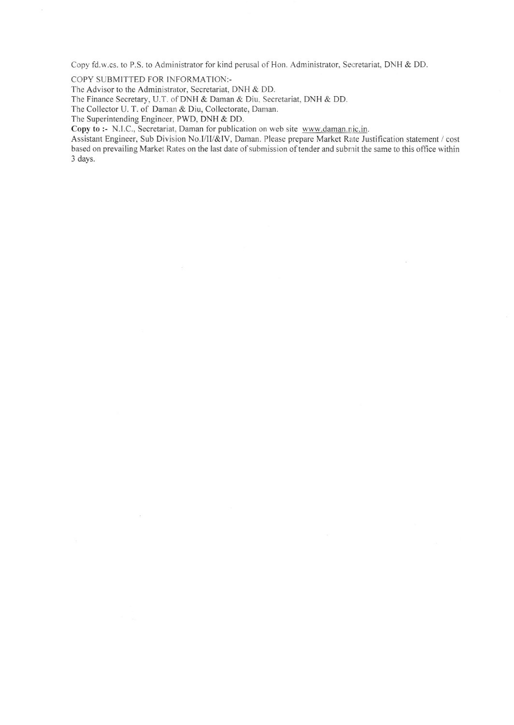Copy fd.w.cs. to P.S. to Administrator for kind perusal of Hon. Administrator, Secretariat, DNH & DD.

COPY SUBMITTED FOR INFORMATION:-

The Advisor to the Administrator, Secretariat, DNH & DD.

The Finance Secretary, U.T. of DNH & Daman & Diu, Secretariat, DNH & DD.

The Collector U. T. of Daman & Diu, Collectorate, Daman.

The Superintending Engineer. PWD, DNH & DD.

Copy to :- N.l.C., Secretariat, Daman for publication on web site www.daman.nic.in.

Assistant Engineer, Sub Division No.l/II/&lV, Daman. Please prepare Market Rate Justification statement / cost based on prevailing Market Rates on the last date of submission of tender and submit the same to this office within 3 days.